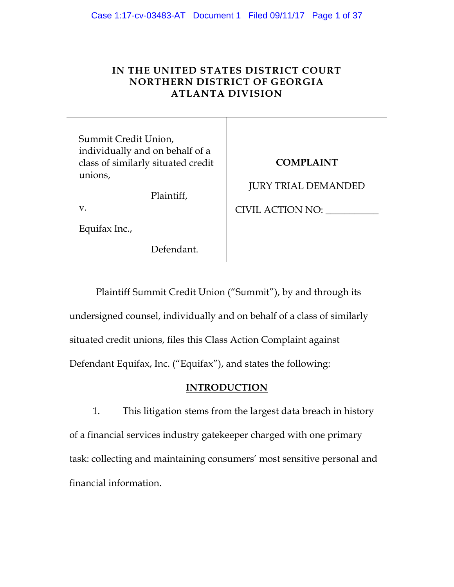# **IN THE UNITED STATES DISTRICT COURT NORTHERN DISTRICT OF GEORGIA ATLANTA DIVISION**

Τ

| Summit Credit Union,<br>individually and on behalf of a<br>class of similarly situated credit<br>unions,<br>Plaintiff,<br>$V_{\cdot}$<br>Equifax Inc., | <b>COMPLAINT</b><br><b>JURY TRIAL DEMANDED</b><br>CIVIL ACTION NO: |
|--------------------------------------------------------------------------------------------------------------------------------------------------------|--------------------------------------------------------------------|
| Defendant.                                                                                                                                             |                                                                    |

Plaintiff Summit Credit Union ("Summit"), by and through its undersigned counsel, individually and on behalf of a class of similarly situated credit unions, files this Class Action Complaint against Defendant Equifax, Inc. ("Equifax"), and states the following:

# **INTRODUCTION**

1. This litigation stems from the largest data breach in history of a financial services industry gatekeeper charged with one primary task: collecting and maintaining consumers' most sensitive personal and financial information.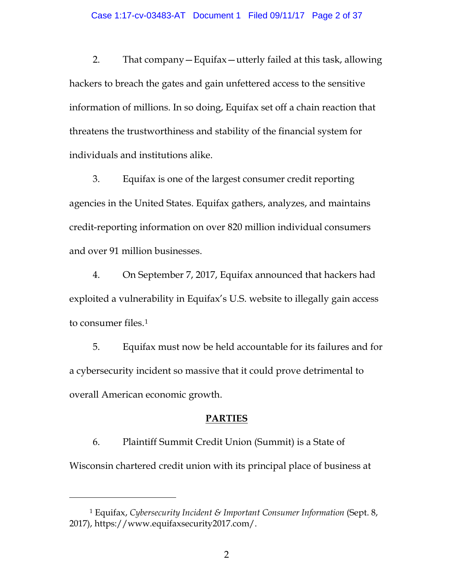2. That company—Equifax—utterly failed at this task, allowing hackers to breach the gates and gain unfettered access to the sensitive information of millions. In so doing, Equifax set off a chain reaction that threatens the trustworthiness and stability of the financial system for individuals and institutions alike.

3. Equifax is one of the largest consumer credit reporting agencies in the United States. Equifax gathers, analyzes, and maintains credit-reporting information on over 820 million individual consumers and over 91 million businesses.

4. On September 7, 2017, Equifax announced that hackers had exploited a vulnerability in Equifax's U.S. website to illegally gain access to consumer files.[1](#page-1-0)

5. Equifax must now be held accountable for its failures and for a cybersecurity incident so massive that it could prove detrimental to overall American economic growth.

### **PARTIES**

6. Plaintiff Summit Credit Union (Summit) is a State of Wisconsin chartered credit union with its principal place of business at

 $\overline{a}$ 

<span id="page-1-0"></span><sup>1</sup> Equifax, *Cybersecurity Incident & Important Consumer Information* (Sept. 8, 2017), https://www.equifaxsecurity2017.com/.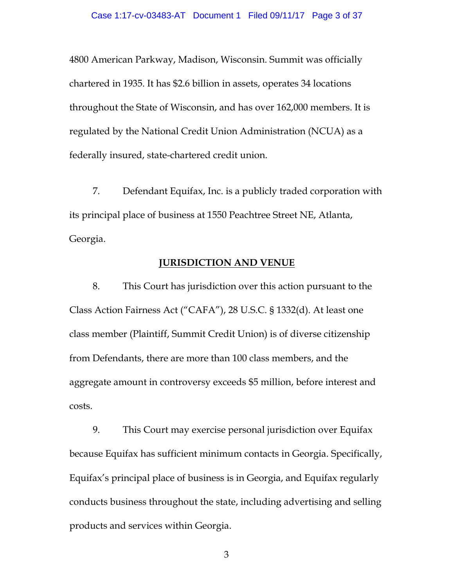4800 American Parkway, Madison, Wisconsin. Summit was officially chartered in 1935. It has \$2.6 billion in assets, operates 34 locations throughout the State of Wisconsin, and has over 162,000 members. It is regulated by the [National Credit Union Administration](https://en.wikipedia.org/wiki/National_Credit_Union_Administration) (NCUA) as a federally insured, state-chartered credit union.

7. Defendant Equifax, Inc. is a publicly traded corporation with its principal place of business at 1550 Peachtree Street NE, Atlanta, Georgia.

## **JURISDICTION AND VENUE**

8. This Court has jurisdiction over this action pursuant to the Class Action Fairness Act ("CAFA"), 28 U.S.C. § 1332(d). At least one class member (Plaintiff, Summit Credit Union) is of diverse citizenship from Defendants, there are more than 100 class members, and the aggregate amount in controversy exceeds \$5 million, before interest and costs.

9. This Court may exercise personal jurisdiction over Equifax because Equifax has sufficient minimum contacts in Georgia. Specifically, Equifax's principal place of business is in Georgia, and Equifax regularly conducts business throughout the state, including advertising and selling products and services within Georgia.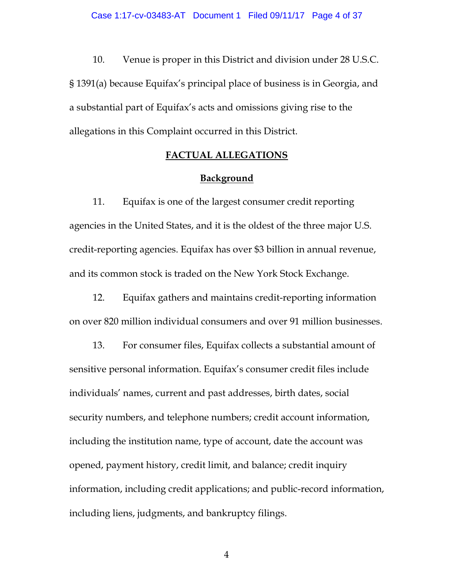10. Venue is proper in this District and division under 28 U.S.C. § 1391(a) because Equifax's principal place of business is in Georgia, and a substantial part of Equifax's acts and omissions giving rise to the allegations in this Complaint occurred in this District.

### **FACTUAL ALLEGATIONS**

### **Background**

11. Equifax is one of the largest consumer credit reporting agencies in the United States, and it is the oldest of the three major U.S. credit-reporting agencies. Equifax has over \$3 billion in annual revenue, and its common stock is traded on the New York Stock Exchange.

12. Equifax gathers and maintains credit-reporting information on over 820 million individual consumers and over 91 million businesses.

13. For consumer files, Equifax collects a substantial amount of sensitive personal information. Equifax's consumer credit files include individuals' names, current and past addresses, birth dates, social security numbers, and telephone numbers; credit account information, including the institution name, type of account, date the account was opened, payment history, credit limit, and balance; credit inquiry information, including credit applications; and public-record information, including liens, judgments, and bankruptcy filings.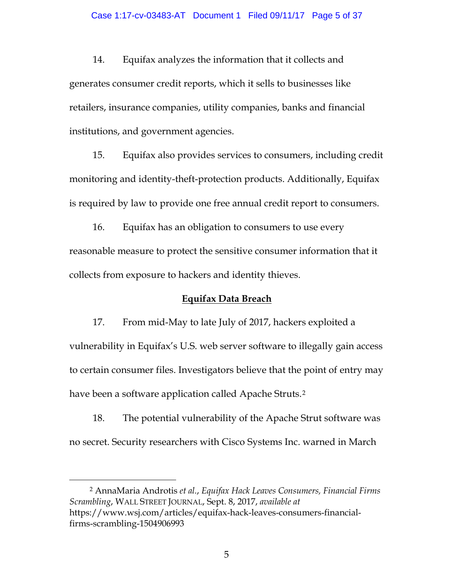14. Equifax analyzes the information that it collects and generates consumer credit reports, which it sells to businesses like retailers, insurance companies, utility companies, banks and financial institutions, and government agencies.

15. Equifax also provides services to consumers, including credit monitoring and identity-theft-protection products. Additionally, Equifax is required by law to provide one free annual credit report to consumers.

16. Equifax has an obligation to consumers to use every reasonable measure to protect the sensitive consumer information that it collects from exposure to hackers and identity thieves.

### **Equifax Data Breach**

17. From mid-May to late July of 2017, hackers exploited a vulnerability in Equifax's U.S. web server software to illegally gain access to certain consumer files. Investigators believe that the point of entry may have been a software application called Apache Struts.<sup>[2](#page-4-0)</sup>

18. The potential vulnerability of the Apache Strut software was no secret. Security researchers with Cisco Systems Inc. warned in March

<span id="page-4-0"></span> 2 AnnaMaria Androtis *et al.*, *Equifax Hack Leaves Consumers, Financial Firms Scrambling*, WALL STREET JOURNAL, Sept. 8, 2017, *available at* https://www.wsj.com/articles/equifax-hack-leaves-consumers-financialfirms-scrambling-1504906993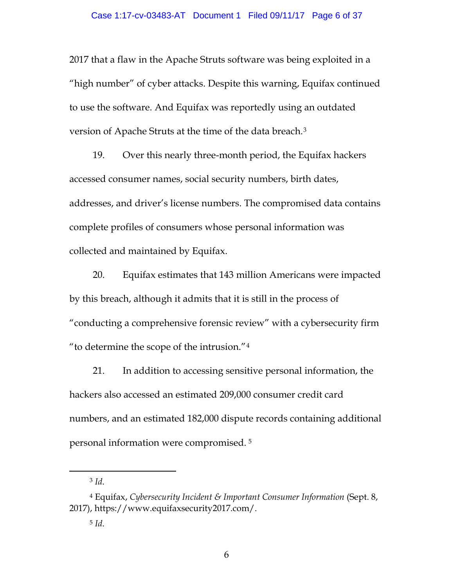2017 that a flaw in the Apache Struts software was being exploited in a "high number" of cyber attacks. Despite this warning, Equifax continued to use the software. And Equifax was reportedly using an outdated version of Apache Struts at the time of the data breach.[3](#page-5-0)

19. Over this nearly three-month period, the Equifax hackers accessed consumer names, social security numbers, birth dates, addresses, and driver's license numbers. The compromised data contains complete profiles of consumers whose personal information was collected and maintained by Equifax.

20. Equifax estimates that 143 million Americans were impacted by this breach, although it admits that it is still in the process of "conducting a comprehensive forensic review" with a cybersecurity firm "to determine the scope of the intrusion."[4](#page-5-1)

21. In addition to accessing sensitive personal information, the hackers also accessed an estimated 209,000 consumer credit card numbers, and an estimated 182,000 dispute records containing additional personal information were compromised. [5](#page-5-2)

 <sup>3</sup> *Id*.

<span id="page-5-2"></span><span id="page-5-1"></span><span id="page-5-0"></span><sup>4</sup> Equifax, *Cybersecurity Incident & Important Consumer Information* (Sept. 8, 2017), https://www.equifaxsecurity2017.com/.

<sup>5</sup> *Id*.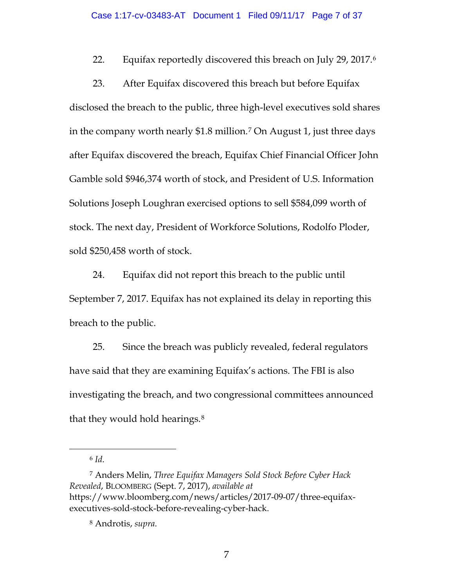22. Equifax reportedly discovered this breach on July 29, 2017.[6](#page-6-0)

23. After Equifax discovered this breach but before Equifax disclosed the breach to the public, three high-level executives sold shares in the company worth nearly \$1.8 million.[7](#page-6-1) On August 1, just three days after Equifax discovered the breach, Equifax Chief Financial Officer John Gamble sold \$946,374 worth of stock, and President of U.S. Information Solutions Joseph Loughran exercised options to sell \$584,099 worth of stock. The next day, President of Workforce Solutions, Rodolfo Ploder, sold \$250,458 worth of stock.

24. Equifax did not report this breach to the public until September 7, 2017. Equifax has not explained its delay in reporting this breach to the public.

25. Since the breach was publicly revealed, federal regulators have said that they are examining Equifax's actions. The FBI is also investigating the breach, and two congressional committees announced that they would hold hearings.[8](#page-6-2)

6 *Id*.

<span id="page-6-2"></span><span id="page-6-1"></span><span id="page-6-0"></span><sup>7</sup> Anders Melin, *Three Equifax Managers Sold Stock Before Cyber Hack Revealed*, BLOOMBERG (Sept. 7, 2017), *available at* https://www.bloomberg.com/news/articles/2017-09-07/three-equifaxexecutives-sold-stock-before-revealing-cyber-hack.

<sup>8</sup> Androtis, *supra*.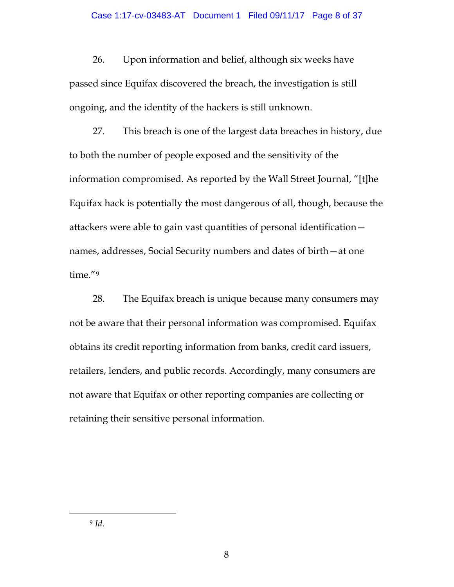26. Upon information and belief, although six weeks have passed since Equifax discovered the breach, the investigation is still ongoing, and the identity of the hackers is still unknown.

27. This breach is one of the largest data breaches in history, due to both the number of people exposed and the sensitivity of the information compromised. As reported by the Wall Street Journal, "[t]he Equifax hack is potentially the most dangerous of all, though, because the attackers were able to gain vast quantities of personal identification names, addresses, Social Security numbers and dates of birth—at one time."[9](#page-7-0)

<span id="page-7-0"></span>28. The Equifax breach is unique because many consumers may not be aware that their personal information was compromised. Equifax obtains its credit reporting information from banks, credit card issuers, retailers, lenders, and public records. Accordingly, many consumers are not aware that Equifax or other reporting companies are collecting or retaining their sensitive personal information.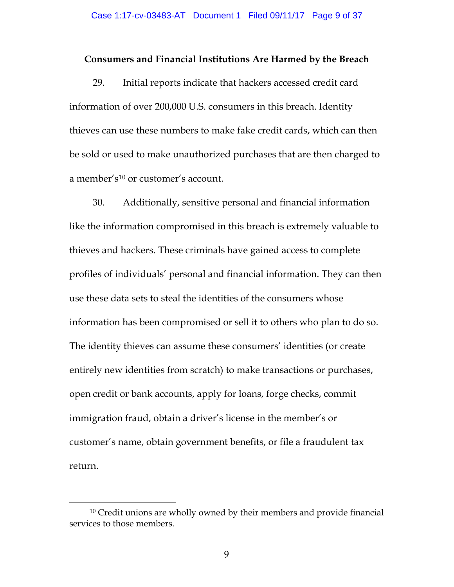### **Consumers and Financial Institutions Are Harmed by the Breach**

29. Initial reports indicate that hackers accessed credit card information of over 200,000 U.S. consumers in this breach. Identity thieves can use these numbers to make fake credit cards, which can then be sold or used to make unauthorized purchases that are then charged to a member's<sup>[10](#page-8-0)</sup> or customer's account.

30. Additionally, sensitive personal and financial information like the information compromised in this breach is extremely valuable to thieves and hackers. These criminals have gained access to complete profiles of individuals' personal and financial information. They can then use these data sets to steal the identities of the consumers whose information has been compromised or sell it to others who plan to do so. The identity thieves can assume these consumers' identities (or create entirely new identities from scratch) to make transactions or purchases, open credit or bank accounts, apply for loans, forge checks, commit immigration fraud, obtain a driver's license in the member's or customer's name, obtain government benefits, or file a fraudulent tax return.

<span id="page-8-0"></span><sup>&</sup>lt;sup>10</sup> Credit unions are wholly owned by their members and provide financial services to those members.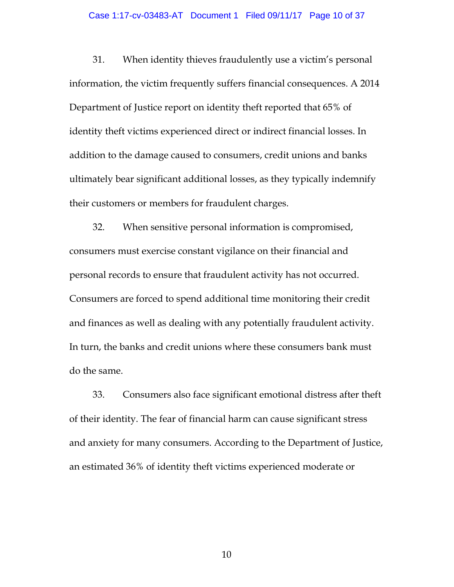#### Case 1:17-cv-03483-AT Document 1 Filed 09/11/17 Page 10 of 37

31. When identity thieves fraudulently use a victim's personal information, the victim frequently suffers financial consequences. A 2014 Department of Justice report on identity theft reported that 65% of identity theft victims experienced direct or indirect financial losses. In addition to the damage caused to consumers, credit unions and banks ultimately bear significant additional losses, as they typically indemnify their customers or members for fraudulent charges.

32. When sensitive personal information is compromised, consumers must exercise constant vigilance on their financial and personal records to ensure that fraudulent activity has not occurred. Consumers are forced to spend additional time monitoring their credit and finances as well as dealing with any potentially fraudulent activity. In turn, the banks and credit unions where these consumers bank must do the same.

33. Consumers also face significant emotional distress after theft of their identity. The fear of financial harm can cause significant stress and anxiety for many consumers. According to the Department of Justice, an estimated 36% of identity theft victims experienced moderate or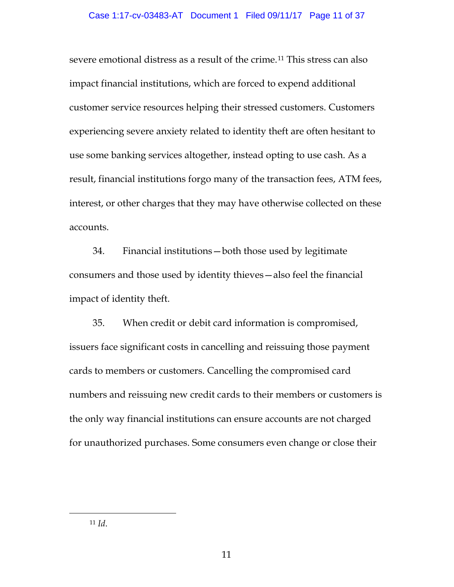severe emotional distress as a result of the crime.[11](#page-10-0) This stress can also impact financial institutions, which are forced to expend additional customer service resources helping their stressed customers. Customers experiencing severe anxiety related to identity theft are often hesitant to use some banking services altogether, instead opting to use cash. As a result, financial institutions forgo many of the transaction fees, ATM fees, interest, or other charges that they may have otherwise collected on these accounts.

34. Financial institutions—both those used by legitimate consumers and those used by identity thieves—also feel the financial impact of identity theft.

35. When credit or debit card information is compromised, issuers face significant costs in cancelling and reissuing those payment cards to members or customers. Cancelling the compromised card numbers and reissuing new credit cards to their members or customers is the only way financial institutions can ensure accounts are not charged for unauthorized purchases. Some consumers even change or close their

<span id="page-10-0"></span>11 *Id*.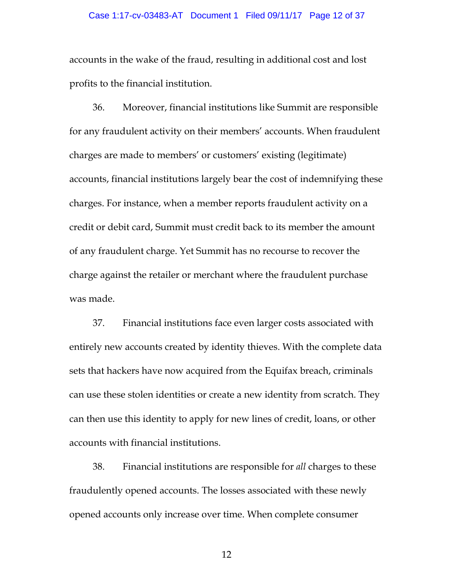#### Case 1:17-cv-03483-AT Document 1 Filed 09/11/17 Page 12 of 37

accounts in the wake of the fraud, resulting in additional cost and lost profits to the financial institution.

36. Moreover, financial institutions like Summit are responsible for any fraudulent activity on their members' accounts. When fraudulent charges are made to members' or customers' existing (legitimate) accounts, financial institutions largely bear the cost of indemnifying these charges. For instance, when a member reports fraudulent activity on a credit or debit card, Summit must credit back to its member the amount of any fraudulent charge. Yet Summit has no recourse to recover the charge against the retailer or merchant where the fraudulent purchase was made.

37. Financial institutions face even larger costs associated with entirely new accounts created by identity thieves. With the complete data sets that hackers have now acquired from the Equifax breach, criminals can use these stolen identities or create a new identity from scratch. They can then use this identity to apply for new lines of credit, loans, or other accounts with financial institutions.

38. Financial institutions are responsible for *all* charges to these fraudulently opened accounts. The losses associated with these newly opened accounts only increase over time. When complete consumer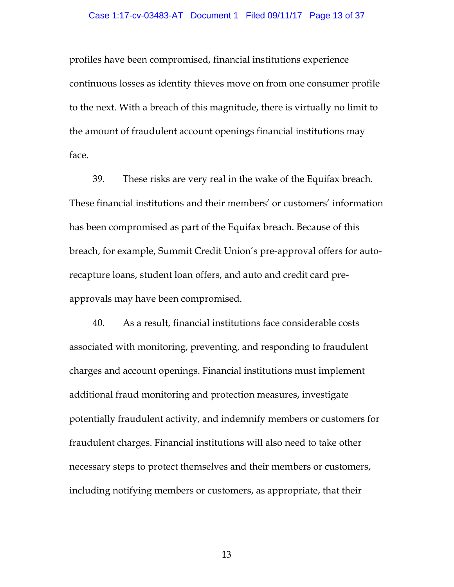profiles have been compromised, financial institutions experience continuous losses as identity thieves move on from one consumer profile to the next. With a breach of this magnitude, there is virtually no limit to the amount of fraudulent account openings financial institutions may face.

39. These risks are very real in the wake of the Equifax breach. These financial institutions and their members' or customers' information has been compromised as part of the Equifax breach. Because of this breach, for example, Summit Credit Union's pre-approval offers for autorecapture loans, student loan offers, and auto and credit card preapprovals may have been compromised.

40. As a result, financial institutions face considerable costs associated with monitoring, preventing, and responding to fraudulent charges and account openings. Financial institutions must implement additional fraud monitoring and protection measures, investigate potentially fraudulent activity, and indemnify members or customers for fraudulent charges. Financial institutions will also need to take other necessary steps to protect themselves and their members or customers, including notifying members or customers, as appropriate, that their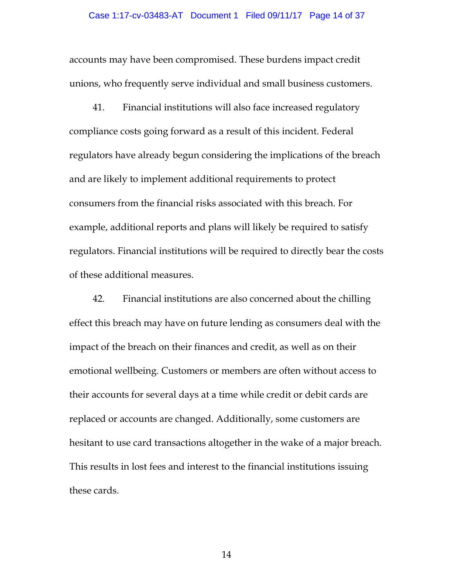accounts may have been compromised. These burdens impact credit unions, who frequently serve individual and small business customers.

41. Financial institutions will also face increased regulatory compliance costs going forward as a result of this incident. Federal regulators have already begun considering the implications of the breach and are likely to implement additional requirements to protect consumers from the financial risks associated with this breach. For example, additional reports and plans will likely be required to satisfy regulators. Financial institutions will be required to directly bear the costs of these additional measures.

42. Financial institutions are also concerned about the chilling effect this breach may have on future lending as consumers deal with the impact of the breach on their finances and credit, as well as on their emotional wellbeing. Customers or members are often without access to their accounts for several days at a time while credit or debit cards are replaced or accounts are changed. Additionally, some customers are hesitant to use card transactions altogether in the wake of a major breach. This results in lost fees and interest to the financial institutions issuing these cards.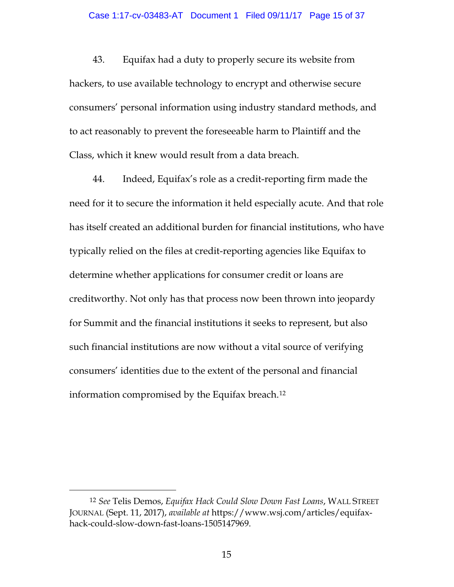43. Equifax had a duty to properly secure its website from hackers, to use available technology to encrypt and otherwise secure consumers' personal information using industry standard methods, and to act reasonably to prevent the foreseeable harm to Plaintiff and the Class, which it knew would result from a data breach.

44. Indeed, Equifax's role as a credit-reporting firm made the need for it to secure the information it held especially acute. And that role has itself created an additional burden for financial institutions, who have typically relied on the files at credit-reporting agencies like Equifax to determine whether applications for consumer credit or loans are creditworthy. Not only has that process now been thrown into jeopardy for Summit and the financial institutions it seeks to represent, but also such financial institutions are now without a vital source of verifying consumers' identities due to the extent of the personal and financial information compromised by the Equifax breach.[12](#page-14-0)

 $\overline{a}$ 

<span id="page-14-0"></span><sup>12</sup> *See* Telis Demos, *Equifax Hack Could Slow Down Fast Loans*, WALL STREET JOURNAL (Sept. 11, 2017), *available at* https://www.wsj.com/articles/equifaxhack-could-slow-down-fast-loans-1505147969.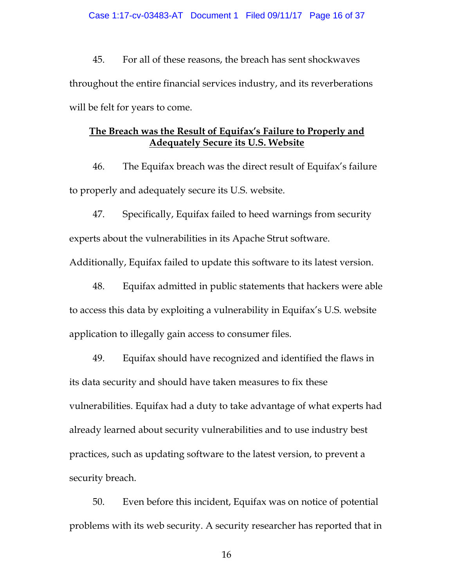### Case 1:17-cv-03483-AT Document 1 Filed 09/11/17 Page 16 of 37

45. For all of these reasons, the breach has sent shockwaves throughout the entire financial services industry, and its reverberations will be felt for years to come.

# **The Breach was the Result of Equifax's Failure to Properly and Adequately Secure its U.S. Website**

46. The Equifax breach was the direct result of Equifax's failure to properly and adequately secure its U.S. website.

47. Specifically, Equifax failed to heed warnings from security experts about the vulnerabilities in its Apache Strut software.

Additionally, Equifax failed to update this software to its latest version.

48. Equifax admitted in public statements that hackers were able to access this data by exploiting a vulnerability in Equifax's U.S. website application to illegally gain access to consumer files.

49. Equifax should have recognized and identified the flaws in its data security and should have taken measures to fix these vulnerabilities. Equifax had a duty to take advantage of what experts had already learned about security vulnerabilities and to use industry best practices, such as updating software to the latest version, to prevent a security breach.

50. Even before this incident, Equifax was on notice of potential problems with its web security. A security researcher has reported that in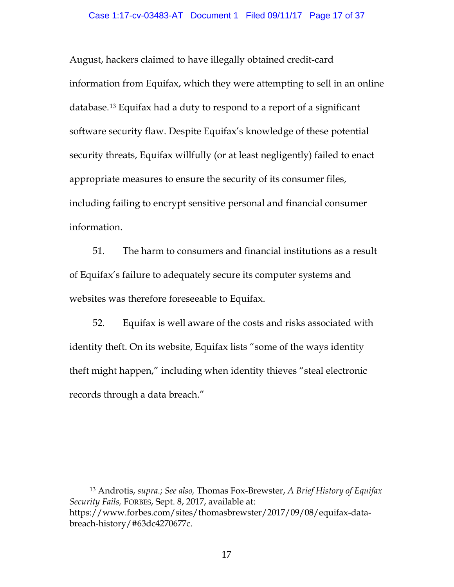August, hackers claimed to have illegally obtained credit-card information from Equifax, which they were attempting to sell in an online database.[13](#page-16-0) Equifax had a duty to respond to a report of a significant software security flaw. Despite Equifax's knowledge of these potential security threats, Equifax willfully (or at least negligently) failed to enact appropriate measures to ensure the security of its consumer files, including failing to encrypt sensitive personal and financial consumer information.

51. The harm to consumers and financial institutions as a result of Equifax's failure to adequately secure its computer systems and websites was therefore foreseeable to Equifax.

52. Equifax is well aware of the costs and risks associated with identity theft. On its website, Equifax lists "some of the ways identity theft might happen," including when identity thieves "steal electronic records through a data breach."

<span id="page-16-0"></span> <sup>13</sup> Androtis, *supra*.; *See also,* Thomas Fox-Brewster, *A Brief History of Equifax Security Fails,* FORBES, Sept. 8, 2017, available at: https://www.forbes.com/sites/thomasbrewster/2017/09/08/equifax-databreach-history/#63dc4270677c.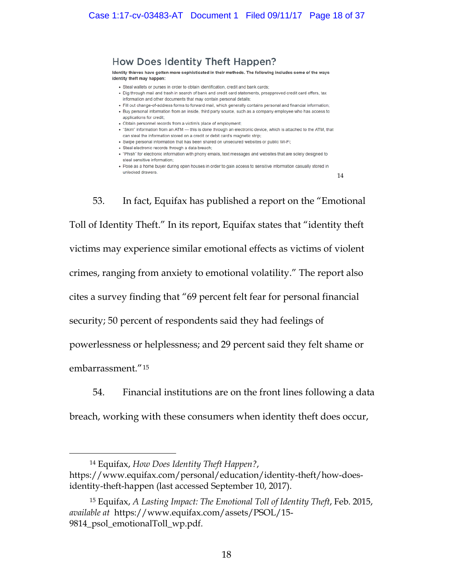# How Does Identity Theft Happen?

Identity thieves have gotten more sophisticated in their methods. The following includes some of the ways identity theft may happen:

- · Steal wallets or purses in order to obtain identification, credit and bank cards;
- . Dig through mail and trash in search of bank and credit card statements, preapproved credit card offers, tax information and other documents that may contain personal details:
- . Fill out change-of-address forms to forward mail, which generally contains personal and financial information;
- · Buy personal information from an inside, third party source, such as a company employee who has access to applications for credit:
- Obtain personnel records from a victim's place of employment;
- . "Skim" information from an ATM this is done through an electronic device, which is attached to the ATM, that can steal the information stored on a credit or debit card's magnetic strip;
- Swipe personal information that has been shared on unsecured websites or public Wi-Fi;
- · Steal electronic records through a data breach:
- . "Phish" for electronic information with phony emails, text messages and websites that are solely designed to steal sensitive information:
- . Pose as a home buver during open houses in order to gain access to sensitive information casually stored in unlocked drawers.

[14](#page-17-0)

53. In fact, Equifax has published a report on the "Emotional Toll of Identity Theft." In its report, Equifax states that "identity theft victims may experience similar emotional effects as victims of violent crimes, ranging from anxiety to emotional volatility." The report also cites a survey finding that "69 percent felt fear for personal financial security; 50 percent of respondents said they had feelings of powerlessness or helplessness; and 29 percent said they felt shame or embarrassment."[15](#page-17-1)

54. Financial institutions are on the front lines following a data breach, working with these consumers when identity theft does occur,

<span id="page-17-0"></span> <sup>14</sup> Equifax, *How Does Identity Theft Happen?*, https://www.equifax.com/personal/education/identity-theft/how-doesidentity-theft-happen (last accessed September 10, 2017).

<span id="page-17-1"></span><sup>15</sup> Equifax, *A Lasting Impact: The Emotional Toll of Identity Theft*, Feb. 2015, *available at* https://www.equifax.com/assets/PSOL/15- 9814\_psol\_emotionalToll\_wp.pdf.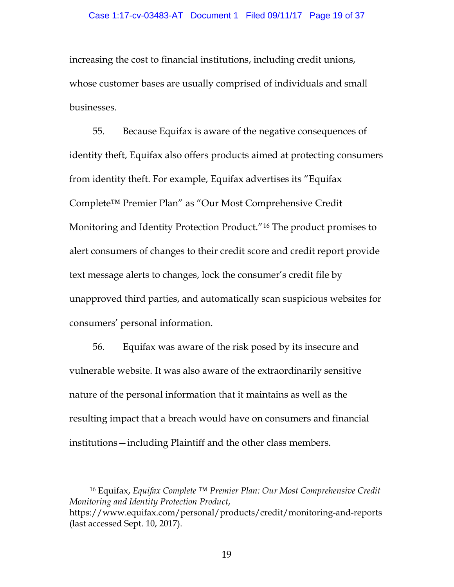increasing the cost to financial institutions, including credit unions, whose customer bases are usually comprised of individuals and small businesses.

55. Because Equifax is aware of the negative consequences of identity theft, Equifax also offers products aimed at protecting consumers from identity theft. For example, Equifax advertises its "Equifax Complete™ Premier Plan" as "Our Most Comprehensive Credit Monitoring and Identity Protection Product."[16](#page-18-0) The product promises to alert consumers of changes to their credit score and credit report provide text message alerts to changes, lock the consumer's credit file by unapproved third parties, and automatically scan suspicious websites for consumers' personal information.

56. Equifax was aware of the risk posed by its insecure and vulnerable website. It was also aware of the extraordinarily sensitive nature of the personal information that it maintains as well as the resulting impact that a breach would have on consumers and financial institutions—including Plaintiff and the other class members.

<span id="page-18-0"></span> <sup>16</sup> Equifax, *Equifax Complete ™ Premier Plan: Our Most Comprehensive Credit Monitoring and Identity Protection Product*, https://www.equifax.com/personal/products/credit/monitoring-and-reports (last accessed Sept. 10, 2017).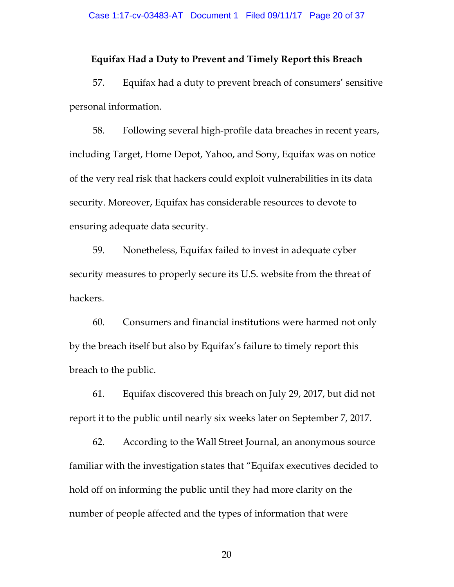### **Equifax Had a Duty to Prevent and Timely Report this Breach**

57. Equifax had a duty to prevent breach of consumers' sensitive personal information.

58. Following several high-profile data breaches in recent years, including Target, Home Depot, Yahoo, and Sony, Equifax was on notice of the very real risk that hackers could exploit vulnerabilities in its data security. Moreover, Equifax has considerable resources to devote to ensuring adequate data security.

59. Nonetheless, Equifax failed to invest in adequate cyber security measures to properly secure its U.S. website from the threat of hackers.

60. Consumers and financial institutions were harmed not only by the breach itself but also by Equifax's failure to timely report this breach to the public.

61. Equifax discovered this breach on July 29, 2017, but did not report it to the public until nearly six weeks later on September 7, 2017.

62. According to the Wall Street Journal, an anonymous source familiar with the investigation states that "Equifax executives decided to hold off on informing the public until they had more clarity on the number of people affected and the types of information that were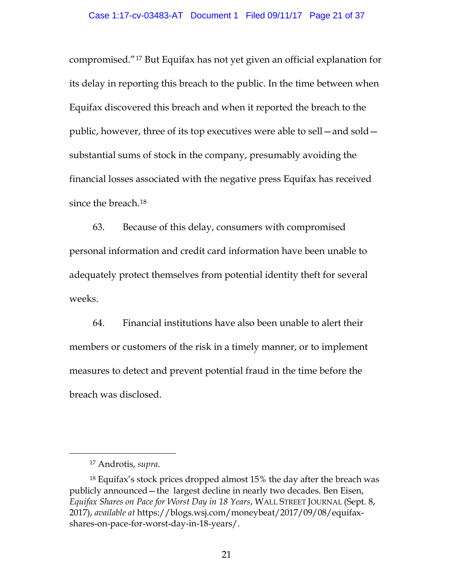compromised."[17](#page-20-0) But Equifax has not yet given an official explanation for its delay in reporting this breach to the public. In the time between when Equifax discovered this breach and when it reported the breach to the public, however, three of its top executives were able to sell—and sold substantial sums of stock in the company, presumably avoiding the financial losses associated with the negative press Equifax has received since the breach.[18](#page-20-1)

63. Because of this delay, consumers with compromised personal information and credit card information have been unable to adequately protect themselves from potential identity theft for several weeks.

64. Financial institutions have also been unable to alert their members or customers of the risk in a timely manner, or to implement measures to detect and prevent potential fraud in the time before the breach was disclosed.

 <sup>17</sup> Androtis, *supra*.

<span id="page-20-1"></span><span id="page-20-0"></span><sup>18</sup> Equifax's stock prices dropped almost 15% the day after the breach was publicly announced—the largest decline in nearly two decades. Ben Eisen, *Equifax Shares on Pace for Worst Day in 18 Years*, WALL STREET JOURNAL (Sept. 8, 2017), *available at* https://blogs.wsj.com/moneybeat/2017/09/08/equifaxshares-on-pace-for-worst-day-in-18-years/.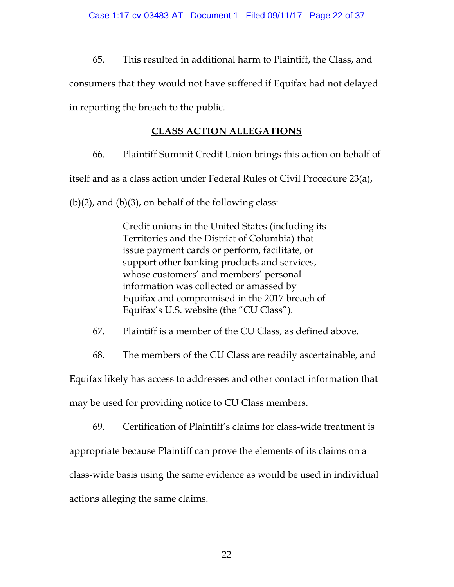65. This resulted in additional harm to Plaintiff, the Class, and consumers that they would not have suffered if Equifax had not delayed in reporting the breach to the public.

# **CLASS ACTION ALLEGATIONS**

66. Plaintiff Summit Credit Union brings this action on behalf of

itself and as a class action under Federal Rules of Civil Procedure 23(a),

 $(b)(2)$ , and  $(b)(3)$ , on behalf of the following class:

Credit unions in the United States (including its Territories and the District of Columbia) that issue payment cards or perform, facilitate, or support other banking products and services, whose customers' and members' personal information was collected or amassed by Equifax and compromised in the 2017 breach of Equifax's U.S. website (the "CU Class").

67. Plaintiff is a member of the CU Class, as defined above.

68. The members of the CU Class are readily ascertainable, and

Equifax likely has access to addresses and other contact information that may be used for providing notice to CU Class members.

69. Certification of Plaintiff's claims for class-wide treatment is appropriate because Plaintiff can prove the elements of its claims on a class-wide basis using the same evidence as would be used in individual actions alleging the same claims.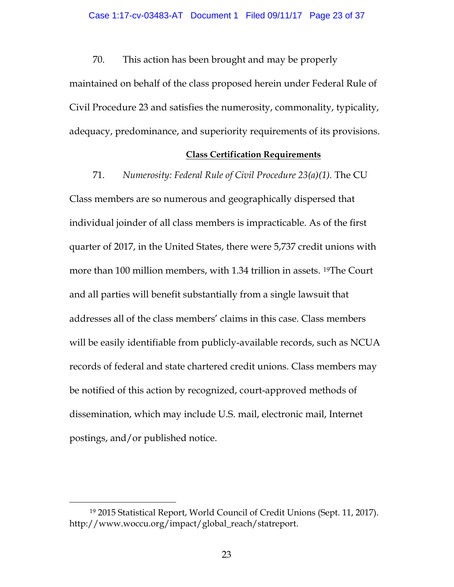70. This action has been brought and may be properly maintained on behalf of the class proposed herein under Federal Rule of Civil Procedure 23 and satisfies the numerosity, commonality, typicality,

adequacy, predominance, and superiority requirements of its provisions.

## **Class Certification Requirements**

71. *Numerosity: Federal Rule of Civil Procedure 23(a)(1).* The CU Class members are so numerous and geographically dispersed that individual joinder of all class members is impracticable. As of the first quarter of 2017, in the United States, there were 5,737 credit unions with more than 100 million members, with 1.34 trillion in assets. [19T](#page-22-0)he Court and all parties will benefit substantially from a single lawsuit that addresses all of the class members' claims in this case. Class members will be easily identifiable from publicly-available records, such as NCUA records of federal and state chartered credit unions. Class members may be notified of this action by recognized, court-approved methods of dissemination, which may include U.S. mail, electronic mail, Internet postings, and/or published notice.

<span id="page-22-0"></span> <sup>19</sup> 2015 Statistical Report, World Council of Credit Unions (Sept. 11, 2017). http://www.woccu.org/impact/global\_reach/statreport.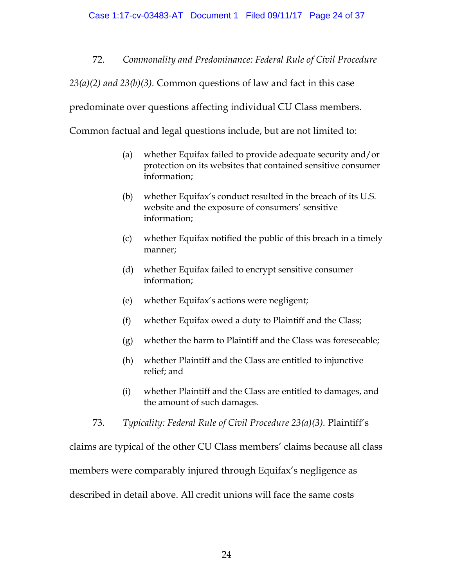72. *Commonality and Predominance: Federal Rule of Civil Procedure* 

*23(a)(2) and 23(b)(3).* Common questions of law and fact in this case

predominate over questions affecting individual CU Class members.

Common factual and legal questions include, but are not limited to:

- (a) whether Equifax failed to provide adequate security and/or protection on its websites that contained sensitive consumer information;
- (b) whether Equifax's conduct resulted in the breach of its U.S. website and the exposure of consumers' sensitive information;
- (c) whether Equifax notified the public of this breach in a timely manner;
- (d) whether Equifax failed to encrypt sensitive consumer information;
- (e) whether Equifax's actions were negligent;
- (f) whether Equifax owed a duty to Plaintiff and the Class;
- (g) whether the harm to Plaintiff and the Class was foreseeable;
- (h) whether Plaintiff and the Class are entitled to injunctive relief; and
- (i) whether Plaintiff and the Class are entitled to damages, and the amount of such damages.
- 73. *Typicality: Federal Rule of Civil Procedure 23(a)(3).* Plaintiff's

claims are typical of the other CU Class members' claims because all class members were comparably injured through Equifax's negligence as described in detail above. All credit unions will face the same costs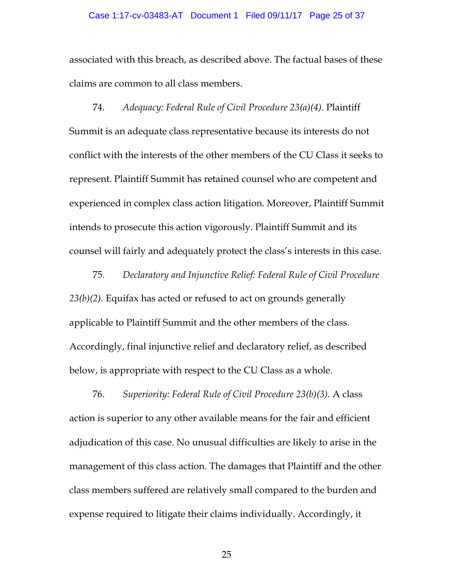#### Case 1:17-cv-03483-AT Document 1 Filed 09/11/17 Page 25 of 37

associated with this breach, as described above. The factual bases of these claims are common to all class members.

74. *Adequacy: Federal Rule of Civil Procedure 23(a)(4).* Plaintiff Summit is an adequate class representative because its interests do not conflict with the interests of the other members of the CU Class it seeks to represent. Plaintiff Summit has retained counsel who are competent and experienced in complex class action litigation. Moreover, Plaintiff Summit intends to prosecute this action vigorously. Plaintiff Summit and its counsel will fairly and adequately protect the class's interests in this case.

75. *Declaratory and Injunctive Relief: Federal Rule of Civil Procedure 23(b)(2).* Equifax has acted or refused to act on grounds generally applicable to Plaintiff Summit and the other members of the class. Accordingly, final injunctive relief and declaratory relief, as described below, is appropriate with respect to the CU Class as a whole.

76. *Superiority: Federal Rule of Civil Procedure 23(b)(3).* A class action is superior to any other available means for the fair and efficient adjudication of this case. No unusual difficulties are likely to arise in the management of this class action. The damages that Plaintiff and the other class members suffered are relatively small compared to the burden and expense required to litigate their claims individually. Accordingly, it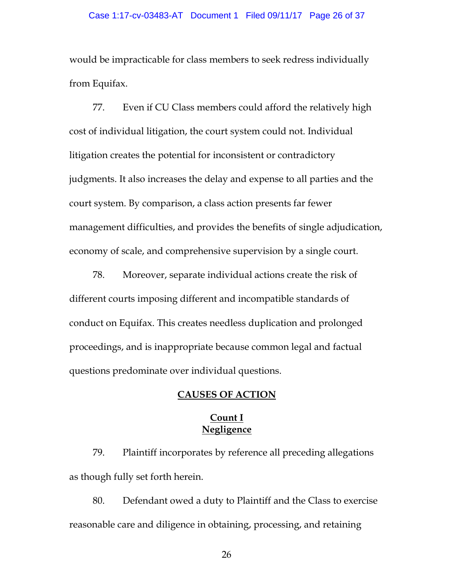would be impracticable for class members to seek redress individually from Equifax.

77. Even if CU Class members could afford the relatively high cost of individual litigation, the court system could not. Individual litigation creates the potential for inconsistent or contradictory judgments. It also increases the delay and expense to all parties and the court system. By comparison, a class action presents far fewer management difficulties, and provides the benefits of single adjudication, economy of scale, and comprehensive supervision by a single court.

78. Moreover, separate individual actions create the risk of different courts imposing different and incompatible standards of conduct on Equifax. This creates needless duplication and prolonged proceedings, and is inappropriate because common legal and factual questions predominate over individual questions.

## **CAUSES OF ACTION**

# **Count I Negligence**

79. Plaintiff incorporates by reference all preceding allegations as though fully set forth herein.

80. Defendant owed a duty to Plaintiff and the Class to exercise reasonable care and diligence in obtaining, processing, and retaining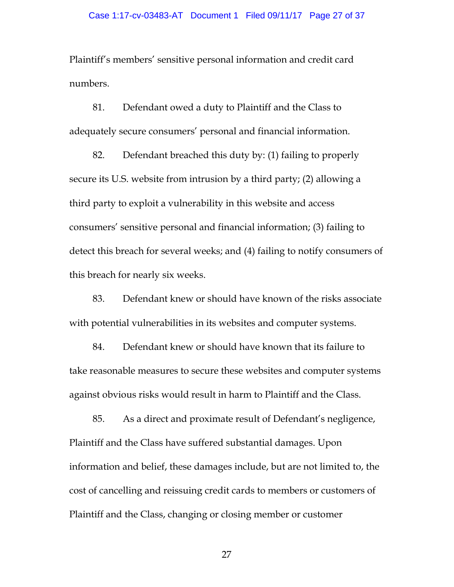Plaintiff's members' sensitive personal information and credit card numbers.

81. Defendant owed a duty to Plaintiff and the Class to adequately secure consumers' personal and financial information.

82. Defendant breached this duty by: (1) failing to properly secure its U.S. website from intrusion by a third party; (2) allowing a third party to exploit a vulnerability in this website and access consumers' sensitive personal and financial information; (3) failing to detect this breach for several weeks; and (4) failing to notify consumers of this breach for nearly six weeks.

83. Defendant knew or should have known of the risks associate with potential vulnerabilities in its websites and computer systems.

84. Defendant knew or should have known that its failure to take reasonable measures to secure these websites and computer systems against obvious risks would result in harm to Plaintiff and the Class.

85. As a direct and proximate result of Defendant's negligence, Plaintiff and the Class have suffered substantial damages. Upon information and belief, these damages include, but are not limited to, the cost of cancelling and reissuing credit cards to members or customers of Plaintiff and the Class, changing or closing member or customer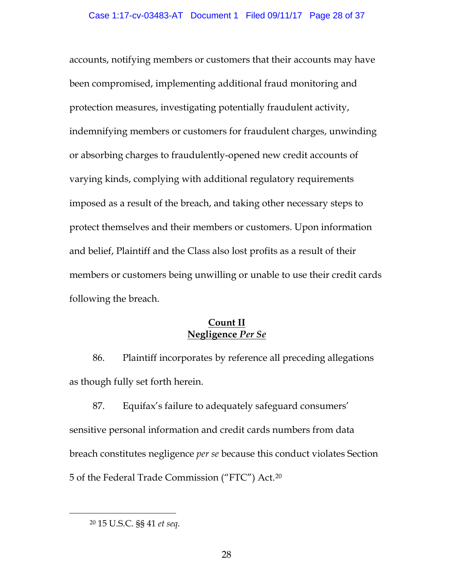accounts, notifying members or customers that their accounts may have been compromised, implementing additional fraud monitoring and protection measures, investigating potentially fraudulent activity, indemnifying members or customers for fraudulent charges, unwinding or absorbing charges to fraudulently-opened new credit accounts of varying kinds, complying with additional regulatory requirements imposed as a result of the breach, and taking other necessary steps to protect themselves and their members or customers. Upon information and belief, Plaintiff and the Class also lost profits as a result of their members or customers being unwilling or unable to use their credit cards following the breach.

# **Count II Negligence** *Per Se*

86. Plaintiff incorporates by reference all preceding allegations as though fully set forth herein.

87. Equifax's failure to adequately safeguard consumers' sensitive personal information and credit cards numbers from data breach constitutes negligence *per se* because this conduct violates Section 5 of the Federal Trade Commission ("FTC") Act.[20](#page-27-0)

<span id="page-27-0"></span> <sup>20</sup> 15 U.S.C. §§ 41 *et seq*.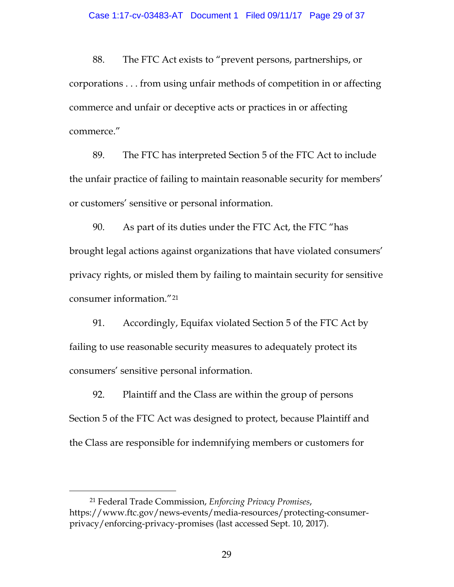88. The FTC Act exists to "prevent persons, partnerships, or corporations . . . from using unfair methods of competition in or affecting commerce and unfair or deceptive acts or practices in or affecting commerce."

89. The FTC has interpreted Section 5 of the FTC Act to include the unfair practice of failing to maintain reasonable security for members' or customers' sensitive or personal information.

90. As part of its duties under the FTC Act, the FTC "has brought legal actions against organizations that have violated consumers' privacy rights, or misled them by failing to maintain security for sensitive consumer information."[21](#page-28-0)

91. Accordingly, Equifax violated Section 5 of the FTC Act by failing to use reasonable security measures to adequately protect its consumers' sensitive personal information.

92. Plaintiff and the Class are within the group of persons Section 5 of the FTC Act was designed to protect, because Plaintiff and the Class are responsible for indemnifying members or customers for

<span id="page-28-0"></span> <sup>21</sup> Federal Trade Commission, *Enforcing Privacy Promises*, https://www.ftc.gov/news-events/media-resources/protecting-consumerprivacy/enforcing-privacy-promises (last accessed Sept. 10, 2017).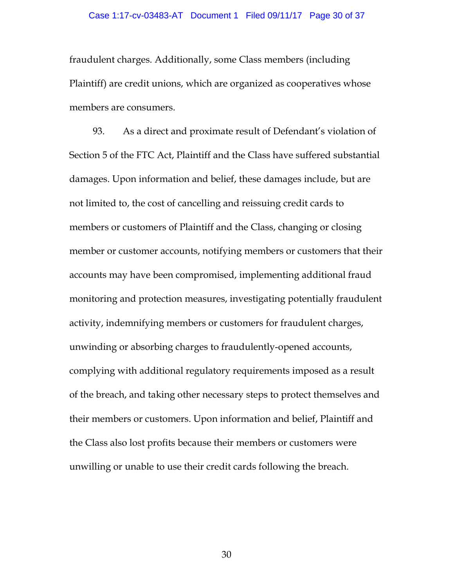fraudulent charges. Additionally, some Class members (including Plaintiff) are credit unions, which are organized as cooperatives whose members are consumers.

93. As a direct and proximate result of Defendant's violation of Section 5 of the FTC Act, Plaintiff and the Class have suffered substantial damages. Upon information and belief, these damages include, but are not limited to, the cost of cancelling and reissuing credit cards to members or customers of Plaintiff and the Class, changing or closing member or customer accounts, notifying members or customers that their accounts may have been compromised, implementing additional fraud monitoring and protection measures, investigating potentially fraudulent activity, indemnifying members or customers for fraudulent charges, unwinding or absorbing charges to fraudulently-opened accounts, complying with additional regulatory requirements imposed as a result of the breach, and taking other necessary steps to protect themselves and their members or customers. Upon information and belief, Plaintiff and the Class also lost profits because their members or customers were unwilling or unable to use their credit cards following the breach.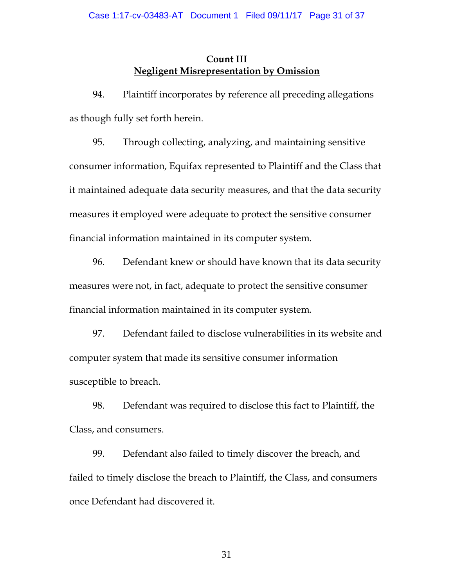# **Count III Negligent Misrepresentation by Omission**

94. Plaintiff incorporates by reference all preceding allegations as though fully set forth herein.

95. Through collecting, analyzing, and maintaining sensitive consumer information, Equifax represented to Plaintiff and the Class that it maintained adequate data security measures, and that the data security measures it employed were adequate to protect the sensitive consumer financial information maintained in its computer system.

96. Defendant knew or should have known that its data security measures were not, in fact, adequate to protect the sensitive consumer financial information maintained in its computer system.

97. Defendant failed to disclose vulnerabilities in its website and computer system that made its sensitive consumer information susceptible to breach.

98. Defendant was required to disclose this fact to Plaintiff, the Class, and consumers.

99. Defendant also failed to timely discover the breach, and failed to timely disclose the breach to Plaintiff, the Class, and consumers once Defendant had discovered it.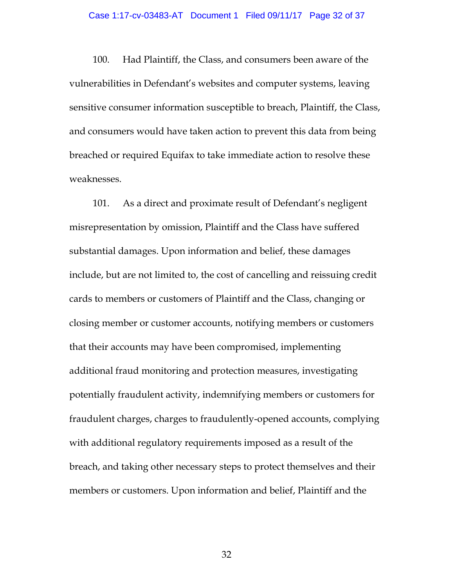#### Case 1:17-cv-03483-AT Document 1 Filed 09/11/17 Page 32 of 37

100. Had Plaintiff, the Class, and consumers been aware of the vulnerabilities in Defendant's websites and computer systems, leaving sensitive consumer information susceptible to breach, Plaintiff, the Class, and consumers would have taken action to prevent this data from being breached or required Equifax to take immediate action to resolve these weaknesses.

101. As a direct and proximate result of Defendant's negligent misrepresentation by omission, Plaintiff and the Class have suffered substantial damages. Upon information and belief, these damages include, but are not limited to, the cost of cancelling and reissuing credit cards to members or customers of Plaintiff and the Class, changing or closing member or customer accounts, notifying members or customers that their accounts may have been compromised, implementing additional fraud monitoring and protection measures, investigating potentially fraudulent activity, indemnifying members or customers for fraudulent charges, charges to fraudulently-opened accounts, complying with additional regulatory requirements imposed as a result of the breach, and taking other necessary steps to protect themselves and their members or customers. Upon information and belief, Plaintiff and the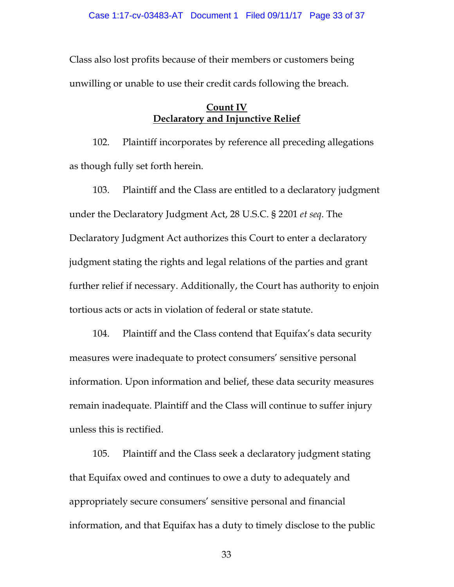Class also lost profits because of their members or customers being unwilling or unable to use their credit cards following the breach.

# **Count IV Declaratory and Injunctive Relief**

102. Plaintiff incorporates by reference all preceding allegations as though fully set forth herein.

103. Plaintiff and the Class are entitled to a declaratory judgment under the Declaratory Judgment Act, 28 U.S.C. § 2201 *et seq*. The Declaratory Judgment Act authorizes this Court to enter a declaratory judgment stating the rights and legal relations of the parties and grant further relief if necessary. Additionally, the Court has authority to enjoin tortious acts or acts in violation of federal or state statute.

104. Plaintiff and the Class contend that Equifax's data security measures were inadequate to protect consumers' sensitive personal information. Upon information and belief, these data security measures remain inadequate. Plaintiff and the Class will continue to suffer injury unless this is rectified.

105. Plaintiff and the Class seek a declaratory judgment stating that Equifax owed and continues to owe a duty to adequately and appropriately secure consumers' sensitive personal and financial information, and that Equifax has a duty to timely disclose to the public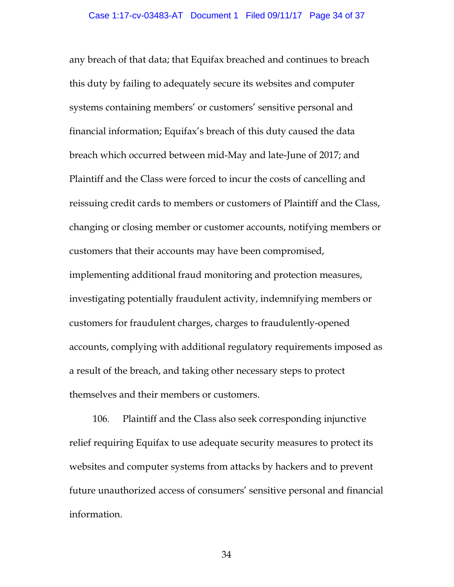any breach of that data; that Equifax breached and continues to breach this duty by failing to adequately secure its websites and computer systems containing members' or customers' sensitive personal and financial information; Equifax's breach of this duty caused the data breach which occurred between mid-May and late-June of 2017; and Plaintiff and the Class were forced to incur the costs of cancelling and reissuing credit cards to members or customers of Plaintiff and the Class, changing or closing member or customer accounts, notifying members or customers that their accounts may have been compromised, implementing additional fraud monitoring and protection measures, investigating potentially fraudulent activity, indemnifying members or customers for fraudulent charges, charges to fraudulently-opened accounts, complying with additional regulatory requirements imposed as a result of the breach, and taking other necessary steps to protect themselves and their members or customers.

106. Plaintiff and the Class also seek corresponding injunctive relief requiring Equifax to use adequate security measures to protect its websites and computer systems from attacks by hackers and to prevent future unauthorized access of consumers' sensitive personal and financial information.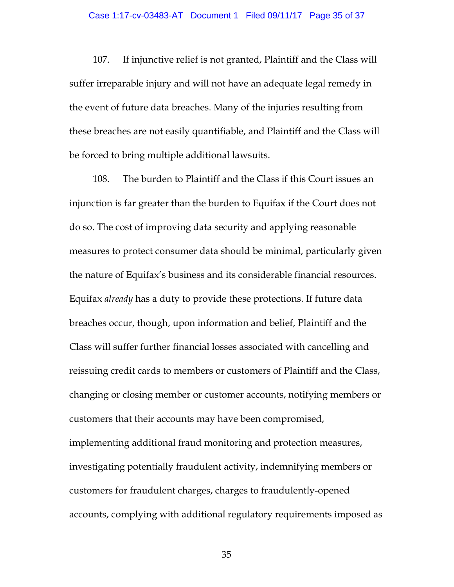107. If injunctive relief is not granted, Plaintiff and the Class will suffer irreparable injury and will not have an adequate legal remedy in the event of future data breaches. Many of the injuries resulting from these breaches are not easily quantifiable, and Plaintiff and the Class will be forced to bring multiple additional lawsuits.

108. The burden to Plaintiff and the Class if this Court issues an injunction is far greater than the burden to Equifax if the Court does not do so. The cost of improving data security and applying reasonable measures to protect consumer data should be minimal, particularly given the nature of Equifax's business and its considerable financial resources. Equifax *already* has a duty to provide these protections. If future data breaches occur, though, upon information and belief, Plaintiff and the Class will suffer further financial losses associated with cancelling and reissuing credit cards to members or customers of Plaintiff and the Class, changing or closing member or customer accounts, notifying members or customers that their accounts may have been compromised, implementing additional fraud monitoring and protection measures, investigating potentially fraudulent activity, indemnifying members or customers for fraudulent charges, charges to fraudulently-opened accounts, complying with additional regulatory requirements imposed as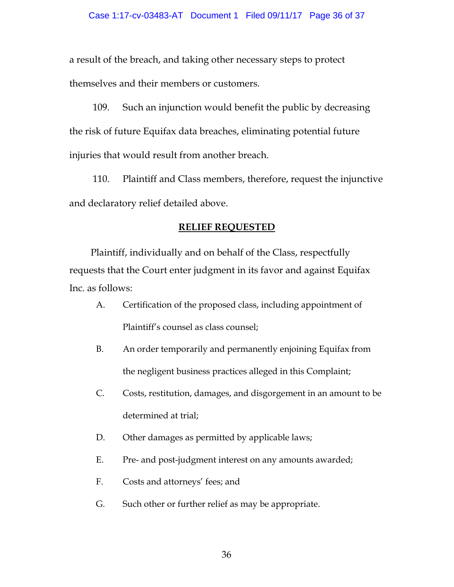a result of the breach, and taking other necessary steps to protect themselves and their members or customers.

109. Such an injunction would benefit the public by decreasing the risk of future Equifax data breaches, eliminating potential future injuries that would result from another breach.

110. Plaintiff and Class members, therefore, request the injunctive and declaratory relief detailed above.

# **RELIEF REQUESTED**

Plaintiff, individually and on behalf of the Class, respectfully requests that the Court enter judgment in its favor and against Equifax Inc. as follows:

- A. Certification of the proposed class, including appointment of Plaintiff's counsel as class counsel;
- B. An order temporarily and permanently enjoining Equifax from the negligent business practices alleged in this Complaint;
- C. Costs, restitution, damages, and disgorgement in an amount to be determined at trial;
- D. Other damages as permitted by applicable laws;
- E. Pre- and post-judgment interest on any amounts awarded;
- F. Costs and attorneys' fees; and
- G. Such other or further relief as may be appropriate.